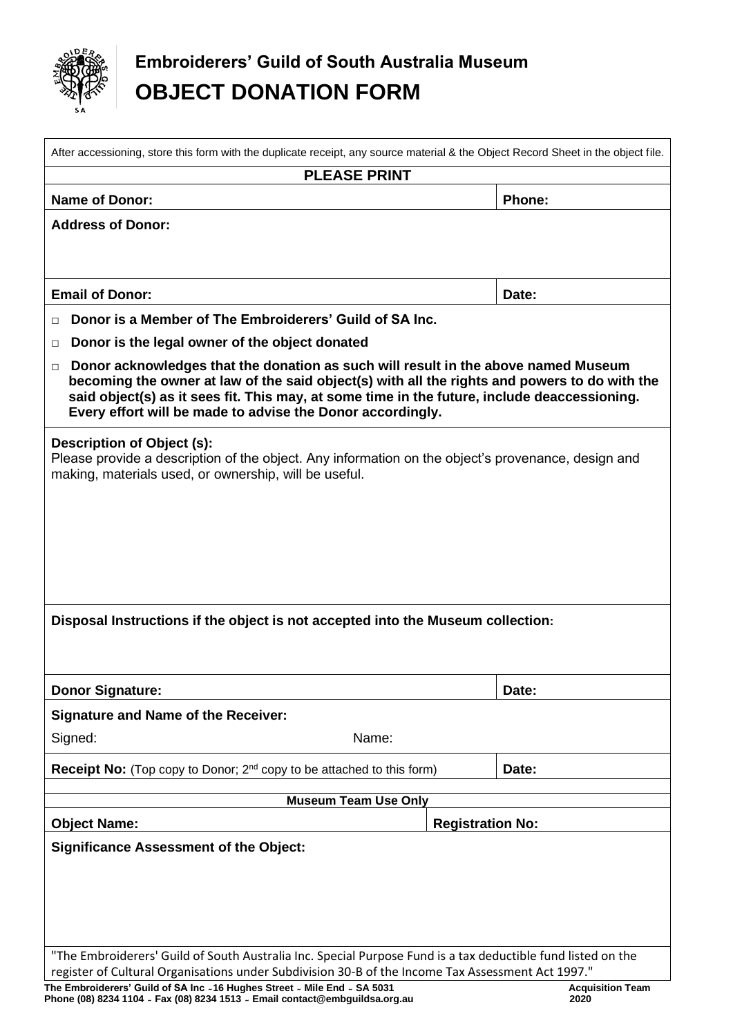

 $\overline{1}$ 

# **Embroiderers' Guild of South Australia Museum OBJECT DONATION FORM**

| After accessioning, store this form with the duplicate receipt, any source material & the Object Record Sheet in the object file.                                                                                                                                                                                                                      |                         |        |
|--------------------------------------------------------------------------------------------------------------------------------------------------------------------------------------------------------------------------------------------------------------------------------------------------------------------------------------------------------|-------------------------|--------|
| <b>PLEASE PRINT</b>                                                                                                                                                                                                                                                                                                                                    |                         |        |
| <b>Name of Donor:</b>                                                                                                                                                                                                                                                                                                                                  |                         | Phone: |
| <b>Address of Donor:</b>                                                                                                                                                                                                                                                                                                                               |                         |        |
| <b>Email of Donor:</b>                                                                                                                                                                                                                                                                                                                                 |                         | Date:  |
| Donor is a Member of The Embroiderers' Guild of SA Inc.<br>П                                                                                                                                                                                                                                                                                           |                         |        |
| Donor is the legal owner of the object donated<br>□                                                                                                                                                                                                                                                                                                    |                         |        |
| Donor acknowledges that the donation as such will result in the above named Museum<br>□<br>becoming the owner at law of the said object(s) with all the rights and powers to do with the<br>said object(s) as it sees fit. This may, at some time in the future, include deaccessioning.<br>Every effort will be made to advise the Donor accordingly. |                         |        |
| Description of Object (s):<br>Please provide a description of the object. Any information on the object's provenance, design and<br>making, materials used, or ownership, will be useful.                                                                                                                                                              |                         |        |
| Disposal Instructions if the object is not accepted into the Museum collection:                                                                                                                                                                                                                                                                        |                         |        |
|                                                                                                                                                                                                                                                                                                                                                        |                         |        |
| <b>Donor Signature:</b>                                                                                                                                                                                                                                                                                                                                |                         | Date:  |
| <b>Signature and Name of the Receiver:</b>                                                                                                                                                                                                                                                                                                             |                         |        |
| Signed:<br>Name:                                                                                                                                                                                                                                                                                                                                       |                         |        |
| <b>Receipt No:</b> (Top copy to Donor; 2 <sup>nd</sup> copy to be attached to this form)                                                                                                                                                                                                                                                               |                         | Date:  |
| <b>Museum Team Use Only</b>                                                                                                                                                                                                                                                                                                                            |                         |        |
| <b>Object Name:</b>                                                                                                                                                                                                                                                                                                                                    | <b>Registration No:</b> |        |
| <b>Significance Assessment of the Object:</b>                                                                                                                                                                                                                                                                                                          |                         |        |
| "The Embroiderers' Guild of South Australia Inc. Special Purpose Fund is a tax deductible fund listed on the                                                                                                                                                                                                                                           |                         |        |
| register of Cultural Organisations under Subdivision 30-B of the Income Tax Assessment Act 1997."<br>The Embroiderers' Guild of SA Inc ~16 Hughes Street ~ Mile End ~ SA 5031<br><b>Acquisition Team</b>                                                                                                                                               |                         |        |